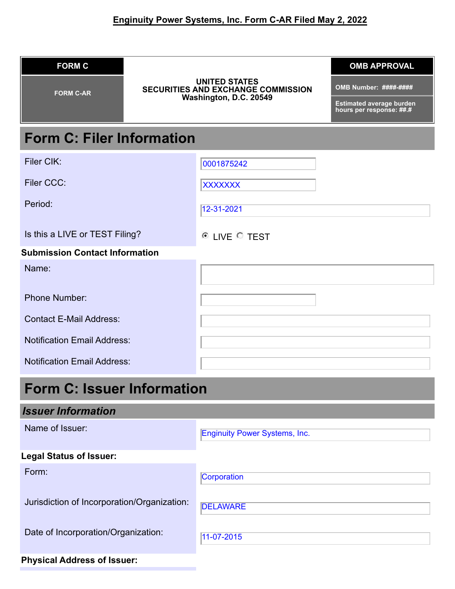| <b>FORM C</b>                               |                                                                                             | <b>OMB APPROVAL</b>                                         |
|---------------------------------------------|---------------------------------------------------------------------------------------------|-------------------------------------------------------------|
| <b>FORM C-AR</b>                            | <b>UNITED STATES</b><br><b>SECURITIES AND EXCHANGE COMMISSION</b><br>Washington, D.C. 20549 | OMB Number: ####-####                                       |
|                                             |                                                                                             | <b>Estimated average burden</b><br>hours per response: ##.# |
| <b>Form C: Filer Information</b>            |                                                                                             |                                                             |
| Filer CIK:                                  | 0001875242                                                                                  |                                                             |
| <b>Filer CCC:</b>                           | <b>XXXXXXX</b>                                                                              |                                                             |
| Period:                                     | 12-31-2021                                                                                  |                                                             |
| Is this a LIVE or TEST Filing?              | <sup>6</sup> LIVE <sup>C</sup> TEST                                                         |                                                             |
| <b>Submission Contact Information</b>       |                                                                                             |                                                             |
| Name:                                       |                                                                                             |                                                             |
| <b>Phone Number:</b>                        |                                                                                             |                                                             |
| <b>Contact E-Mail Address:</b>              |                                                                                             |                                                             |
| <b>Notification Email Address:</b>          |                                                                                             |                                                             |
| <b>Notification Email Address:</b>          |                                                                                             |                                                             |
| <b>Form C: Issuer Information</b>           |                                                                                             |                                                             |
| <b>Issuer Information</b>                   |                                                                                             |                                                             |
| Name of Issuer:                             | <b>Enginuity Power Systems, Inc.</b>                                                        |                                                             |
| <b>Legal Status of Issuer:</b>              |                                                                                             |                                                             |
| Form:                                       | Corporation                                                                                 |                                                             |
| Jurisdiction of Incorporation/Organization: | <b>DELAWARE</b>                                                                             |                                                             |
| Date of Incorporation/Organization:         | 11-07-2015                                                                                  |                                                             |

# **Physical Address of Issuer:**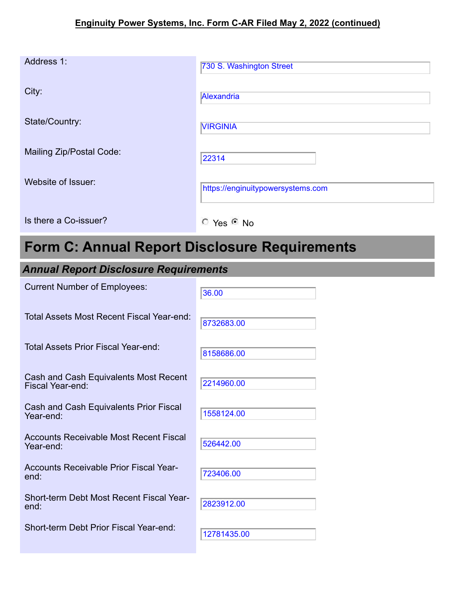# **Enginuity Power Systems, Inc. Form C-AR Filed May 2, 2022 (continued)**

| Address 1:               | 730 S. Washington Street          |
|--------------------------|-----------------------------------|
| City:                    | Alexandria                        |
| State/Country:           | <b>VIRGINIA</b>                   |
| Mailing Zip/Postal Code: | 22314                             |
| Website of Issuer:       | https://enginuitypowersystems.com |
| Is there a Co-issuer?    | $C$ Yes $C$ No                    |

# **Form C: Annual Report Disclosure Requirements**

# *Annual Report Disclosure Requirements*

| <b>Current Number of Employees:</b>                        | 36.00       |
|------------------------------------------------------------|-------------|
| Total Assets Most Recent Fiscal Year-end:                  | 8732683.00  |
| Total Assets Prior Fiscal Year-end:                        | 8158686.00  |
| Cash and Cash Equivalents Most Recent<br>Fiscal Year-end:  | 2214960.00  |
| Cash and Cash Equivalents Prior Fiscal<br>Year-end:        | 1558124.00  |
| <b>Accounts Receivable Most Recent Fiscal</b><br>Year-end: | 526442.00   |
| <b>Accounts Receivable Prior Fiscal Year-</b><br>end:      | 723406.00   |
| Short-term Debt Most Recent Fiscal Year-<br>end:           | 2823912.00  |
| Short-term Debt Prior Fiscal Year-end:                     | 12781435.00 |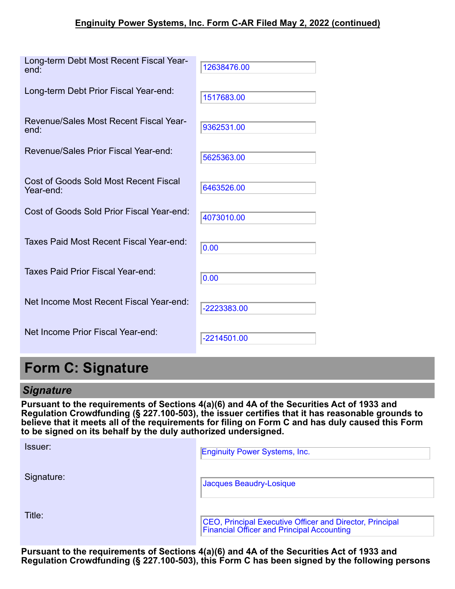| Long-term Debt Most Recent Fiscal Year-<br>end:    | 12638476.00 |
|----------------------------------------------------|-------------|
| Long-term Debt Prior Fiscal Year-end:              | 1517683.00  |
| Revenue/Sales Most Recent Fiscal Year-<br>end:     | 9362531.00  |
| Revenue/Sales Prior Fiscal Year-end:               | 5625363.00  |
| Cost of Goods Sold Most Recent Fiscal<br>Year-end: | 6463526.00  |
| Cost of Goods Sold Prior Fiscal Year-end:          | 4073010.00  |
| Taxes Paid Most Recent Fiscal Year-end:            | 0.00        |
| Taxes Paid Prior Fiscal Year-end:                  | 0.00        |
| Net Income Most Recent Fiscal Year-end:            | -2223383.00 |
| Net Income Prior Fiscal Year-end:                  | -2214501.00 |

# **Form C: Signature**

Title:

*Signature* **Pursuant to the requirements of Sections 4(a)(6) and 4A of the Securities Act of 1933 and Regulation Crowdfunding (§ 227.100-503), the issuer certifies that it has reasonable grounds to believe that it meets all of the requirements for filing on Form C and has duly caused this Form to be signed on its behalf by the duly authorized undersigned.**

| Issuer:    | <b>Enginuity Power Systems, Inc.</b>                                                                   |
|------------|--------------------------------------------------------------------------------------------------------|
| Signature: | Jacques Beaudry-Losique                                                                                |
| Title:     | CEO, Principal Executive Officer and Director, Principal<br>Financial Officer and Principal Accounting |

**Pursuant to the requirements of Sections 4(a)(6) and 4A of the Securities Act of 1933 and Regulation Crowdfunding (§ 227.100-503), this Form C has been signed by the following persons**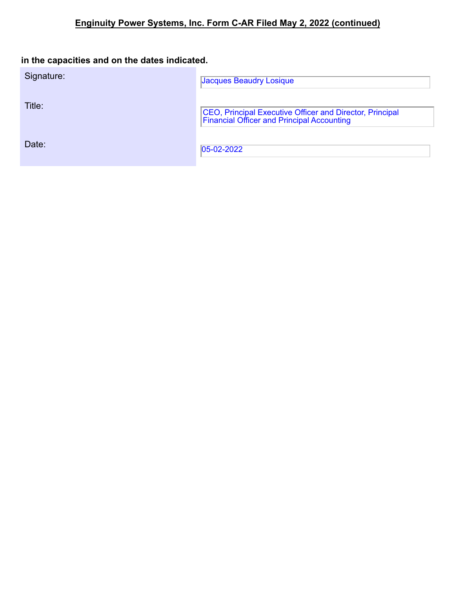# **in the capacities and on the dates indicated.**

| Signature: | <b>Jacques Beaudry Losique</b>                                                                         |
|------------|--------------------------------------------------------------------------------------------------------|
| Title:     | CEO, Principal Executive Officer and Director, Principal<br>Financial Officer and Principal Accounting |
| Date:      | $ 05-02-2022 $                                                                                         |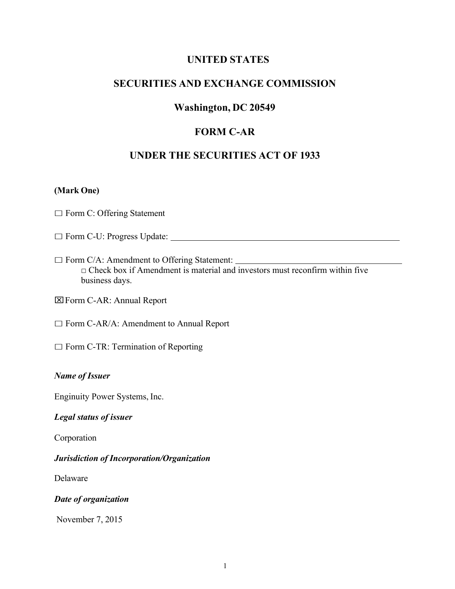### **UNITED STATES**

# **SECURITIES AND EXCHANGE COMMISSION**

## **Washington, DC 20549**

# **FORM C-AR**

## **UNDER THE SECURITIES ACT OF 1933**

#### **(Mark One)**

 $\Box$  Form C: Offering Statement

- □ Form C-U: Progress Update:
- $\Box$  Form C/A: Amendment to Offering Statement:  $\Box$  Check box if Amendment is material and investors must reconfirm within five business days.
- xForm C-AR: Annual Report
- $\Box$  Form C-AR/A: Amendment to Annual Report
- $\Box$  Form C-TR: Termination of Reporting

#### *Name of Issuer*

Enginuity Power Systems, Inc.

#### *Legal status of issuer*

Corporation

*Jurisdiction of Incorporation/Organization*

Delaware

#### *Date of organization*

November 7, 2015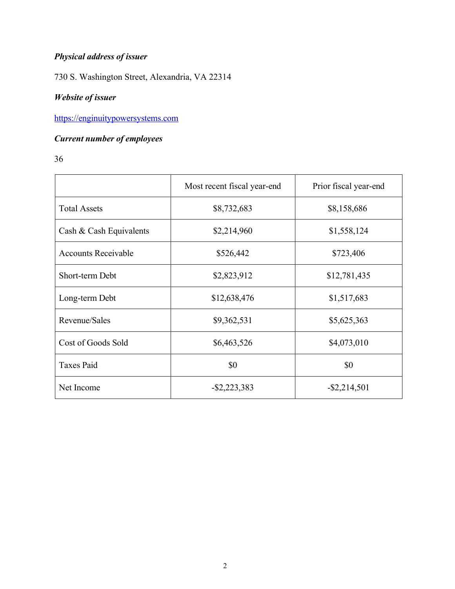# *Physical address of issuer*

730 S. Washington Street, Alexandria, VA 22314

# *Website of issuer*

https://enginuitypowersystems.com

# *Current number of employees*

36

|                            | Most recent fiscal year-end | Prior fiscal year-end |
|----------------------------|-----------------------------|-----------------------|
| <b>Total Assets</b>        | \$8,732,683                 | \$8,158,686           |
| Cash & Cash Equivalents    | \$2,214,960                 | \$1,558,124           |
| <b>Accounts Receivable</b> | \$526,442                   | \$723,406             |
| Short-term Debt            | \$2,823,912                 | \$12,781,435          |
| Long-term Debt             | \$12,638,476                | \$1,517,683           |
| Revenue/Sales              | \$9,362,531                 | \$5,625,363           |
| Cost of Goods Sold         | \$6,463,526                 | \$4,073,010           |
| <b>Taxes Paid</b>          | \$0                         | \$0                   |
| Net Income                 | $-$ \$2,223,383             | $-$ \$2,214,501       |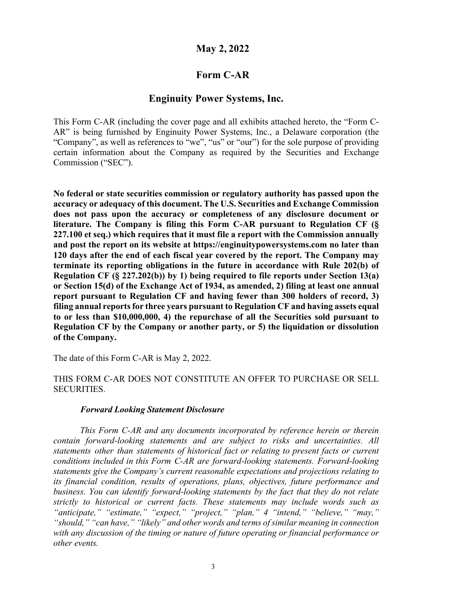# **May 2, 2022**

# **Form C-AR**

# **Enginuity Power Systems, Inc.**

This Form C-AR (including the cover page and all exhibits attached hereto, the "Form C-AR" is being furnished by Enginuity Power Systems, Inc., a Delaware corporation (the "Company", as well as references to "we", "us" or "our") for the sole purpose of providing certain information about the Company as required by the Securities and Exchange Commission ("SEC").

**No federal or state securities commission or regulatory authority has passed upon the accuracy or adequacy of this document. The U.S. Securities and Exchange Commission does not pass upon the accuracy or completeness of any disclosure document or literature. The Company is filing this Form C-AR pursuant to Regulation CF (§ 227.100 et seq.) which requires that it must file a report with the Commission annually and post the report on its website at https://enginuitypowersystems.com no later than 120 days after the end of each fiscal year covered by the report. The Company may terminate its reporting obligations in the future in accordance with Rule 202(b) of Regulation CF (§ 227.202(b)) by 1) being required to file reports under Section 13(a) or Section 15(d) of the Exchange Act of 1934, as amended, 2) filing at least one annual report pursuant to Regulation CF and having fewer than 300 holders of record, 3) filing annual reports for three years pursuant to Regulation CF and having assets equal to or less than \$10,000,000, 4) the repurchase of all the Securities sold pursuant to Regulation CF by the Company or another party, or 5) the liquidation or dissolution of the Company.**

The date of this Form C-AR is May 2, 2022.

#### THIS FORM C-AR DOES NOT CONSTITUTE AN OFFER TO PURCHASE OR SELL SECURITIES.

#### *Forward Looking Statement Disclosure*

*This Form C-AR and any documents incorporated by reference herein or therein contain forward-looking statements and are subject to risks and uncertainties. All statements other than statements of historical fact or relating to present facts or current conditions included in this Form C-AR are forward-looking statements. Forward-looking statements give the Company's current reasonable expectations and projections relating to its financial condition, results of operations, plans, objectives, future performance and business. You can identify forward-looking statements by the fact that they do not relate strictly to historical or current facts. These statements may include words such as "anticipate," "estimate," "expect," "project," "plan," 4 "intend," "believe," "may," "should," "can have," "likely" and other words and terms of similar meaning in connection with any discussion of the timing or nature of future operating or financial performance or other events.*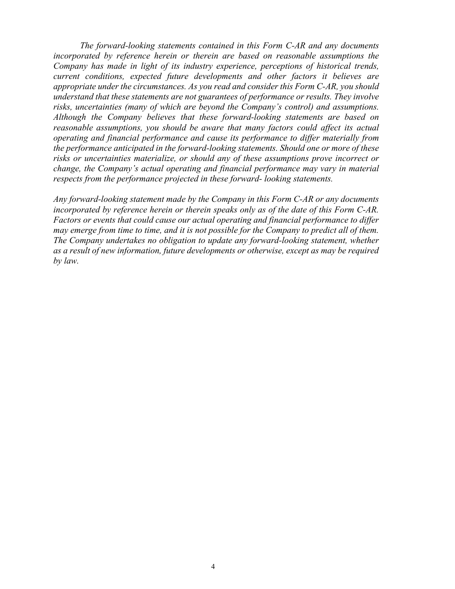*The forward-looking statements contained in this Form C-AR and any documents incorporated by reference herein or therein are based on reasonable assumptions the Company has made in light of its industry experience, perceptions of historical trends, current conditions, expected future developments and other factors it believes are appropriate under the circumstances. As you read and consider this Form C-AR, you should understand that these statements are not guarantees of performance or results. They involve risks, uncertainties (many of which are beyond the Company's control) and assumptions. Although the Company believes that these forward-looking statements are based on reasonable assumptions, you should be aware that many factors could affect its actual operating and financial performance and cause its performance to differ materially from the performance anticipated in the forward-looking statements. Should one or more of these risks or uncertainties materialize, or should any of these assumptions prove incorrect or change, the Company's actual operating and financial performance may vary in material respects from the performance projected in these forward- looking statements.*

*Any forward-looking statement made by the Company in this Form C-AR or any documents incorporated by reference herein or therein speaks only as of the date of this Form C-AR. Factors or events that could cause our actual operating and financial performance to differ may emerge from time to time, and it is not possible for the Company to predict all of them. The Company undertakes no obligation to update any forward-looking statement, whether as a result of new information, future developments or otherwise, except as may be required by law.*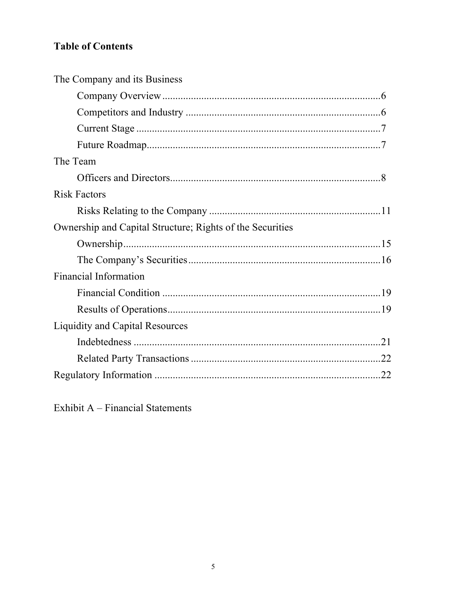# **Table of Contents**

| The Company and its Business                              |  |
|-----------------------------------------------------------|--|
|                                                           |  |
|                                                           |  |
|                                                           |  |
|                                                           |  |
| The Team                                                  |  |
|                                                           |  |
| <b>Risk Factors</b>                                       |  |
|                                                           |  |
| Ownership and Capital Structure; Rights of the Securities |  |
|                                                           |  |
|                                                           |  |
| <b>Financial Information</b>                              |  |
|                                                           |  |
|                                                           |  |
| Liquidity and Capital Resources                           |  |
|                                                           |  |
|                                                           |  |
|                                                           |  |

Exhibit A - Financial Statements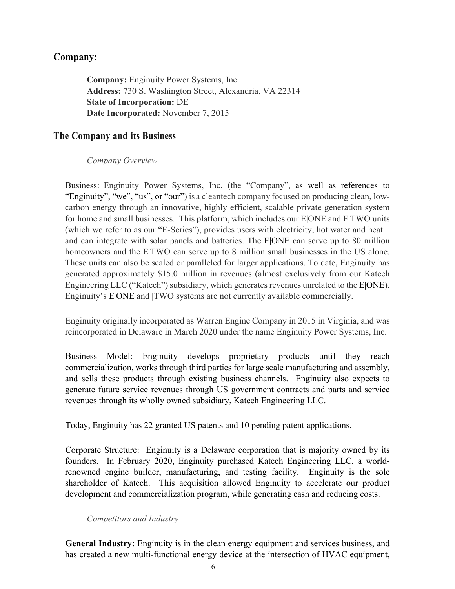# **Company:**

**Company:** Enginuity Power Systems, Inc. **Address:** 730 S. Washington Street, Alexandria, VA 22314 **State of Incorporation:** DE **Date Incorporated:** November 7, 2015

# **The Company and its Business**

#### *Company Overview*

Business: Enginuity Power Systems, Inc. (the "Company", as well as references to "Enginuity", "we", "us", or "our") is a cleantech company focused on producing clean, lowcarbon energy through an innovative, highly efficient, scalable private generation system for home and small businesses. This platform, which includes our E|ONE and E|TWO units (which we refer to as our "E-Series"), provides users with electricity, hot water and heat – and can integrate with solar panels and batteries. The E|ONE can serve up to 80 million homeowners and the E|TWO can serve up to 8 million small businesses in the US alone. These units can also be scaled or paralleled for larger applications. To date, Enginuity has generated approximately \$15.0 million in revenues (almost exclusively from our Katech Engineering LLC ("Katech") subsidiary, which generates revenues unrelated to the E|ONE). Enginuity's E|ONE and |TWO systems are not currently available commercially.

Enginuity originally incorporated as Warren Engine Company in 2015 in Virginia, and was reincorporated in Delaware in March 2020 under the name Enginuity Power Systems, Inc.

Business Model: Enginuity develops proprietary products until they reach commercialization, works through third parties for large scale manufacturing and assembly, and sells these products through existing business channels. Enginuity also expects to generate future service revenues through US government contracts and parts and service revenues through its wholly owned subsidiary, Katech Engineering LLC.

Today, Enginuity has 22 granted US patents and 10 pending patent applications.

Corporate Structure: Enginuity is a Delaware corporation that is majority owned by its founders. In February 2020, Enginuity purchased Katech Engineering LLC, a worldrenowned engine builder, manufacturing, and testing facility. Enginuity is the sole shareholder of Katech. This acquisition allowed Enginuity to accelerate our product development and commercialization program, while generating cash and reducing costs.

#### *Competitors and Industry*

**General Industry:** Enginuity is in the clean energy equipment and services business, and has created a new multi-functional energy device at the intersection of HVAC equipment,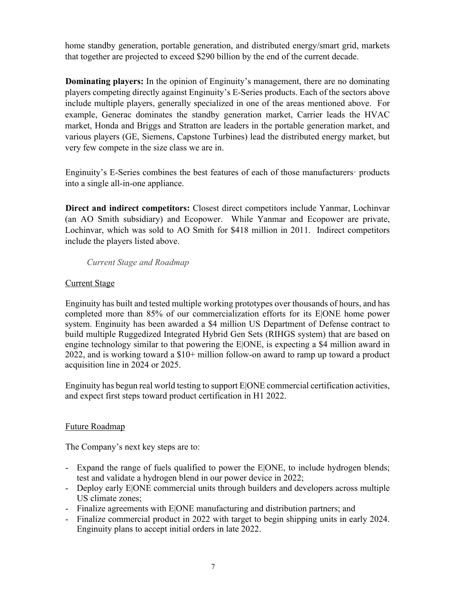home standby generation, portable generation, and distributed energy/smart grid, markets that together are projected to exceed \$290 billion by the end of the current decade.

**Dominating players:** In the opinion of Enginuity's management, there are no dominating players competing directly against Enginuity's E-Series products. Each of the sectors above include multiple players, generally specialized in one of the areas mentioned above. For example, Generac dominates the standby generation market, Carrier leads the HVAC market, Honda and Briggs and Stratton are leaders in the portable generation market, and various players (GE, Siemens, Capstone Turbines) lead the distributed energy market, but very few compete in the size class we are in.

Enginuity's E-Series combines the best features of each of those manufacturers· products into a single all-in-one appliance.

**Direct and indirect competitors:** Closest direct competitors include Yanmar, Lochinvar (an AO Smith subsidiary) and Ecopower. While Yanmar and Ecopower are private, Lochinvar, which was sold to AO Smith for \$418 million in 2011. Indirect competitors include the players listed above.

*Current Stage and Roadmap*

#### Current Stage

Enginuity has built and tested multiple working prototypes over thousands of hours, and has completed more than 85% of our commercialization efforts for its E|ONE home power system. Enginuity has been awarded a \$4 million US Department of Defense contract to build multiple Ruggedized Integrated Hybrid Gen Sets (RIHGS system) that are based on engine technology similar to that powering the E|ONE, is expecting a \$4 million award in 2022, and is working toward a \$10+ million follow-on award to ramp up toward a product acquisition line in 2024 or 2025.

Enginuity has begun real world testing to support E|ONE commercial certification activities, and expect first steps toward product certification in H1 2022.

#### Future Roadmap

The Company's next key steps are to:

- Expand the range of fuels qualified to power the E|ONE, to include hydrogen blends; test and validate a hydrogen blend in our power device in 2022;
- Deploy early E|ONE commercial units through builders and developers across multiple US climate zones;
- Finalize agreements with E|ONE manufacturing and distribution partners; and
- Finalize commercial product in 2022 with target to begin shipping units in early 2024. Enginuity plans to accept initial orders in late 2022.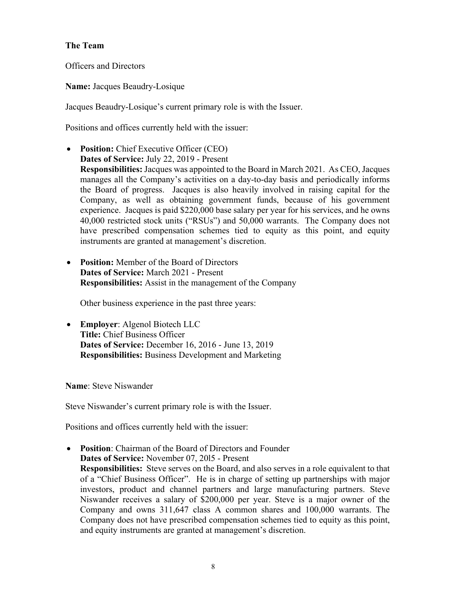#### **The Team**

Officers and Directors

**Name:** Jacques Beaudry-Losique

Jacques Beaudry-Losique's current primary role is with the Issuer.

Positions and offices currently held with the issuer:

- **Position:** Chief Executive Officer (CEO) **Dates of Service:** July 22, 2019 - Present **Responsibilities:** Jacques was appointed to the Board in March 2021. As CEO, Jacques manages all the Company's activities on a day-to-day basis and periodically informs the Board of progress. Jacques is also heavily involved in raising capital for the Company, as well as obtaining government funds, because of his government experience. Jacques is paid \$220,000 base salary per year for his services, and he owns 40,000 restricted stock units ("RSUs") and 50,000 warrants. The Company does not have prescribed compensation schemes tied to equity as this point, and equity instruments are granted at management's discretion.
- **Position:** Member of the Board of Directors **Dates of Service:** March 2021 - Present **Responsibilities:** Assist in the management of the Company

Other business experience in the past three years:

• **Employer**: Algenol Biotech LLC **Title:** Chief Business Officer **Dates of Service:** December 16, 2016 - June 13, 2019 **Responsibilities:** Business Development and Marketing

**Name**: Steve Niswander

Steve Niswander's current primary role is with the Issuer.

Positions and offices currently held with the issuer:

• **Position**: Chairman of the Board of Directors and Founder **Dates of Service:** November 07, 20l5 - Present **Responsibilities:** Steve serves on the Board, and also serves in a role equivalent to that of a "Chief Business Officer". He is in charge of setting up partnerships with major investors, product and channel partners and large manufacturing partners. Steve Niswander receives a salary of \$200,000 per year. Steve is a major owner of the Company and owns 311,647 class A common shares and 100,000 warrants. The Company does not have prescribed compensation schemes tied to equity as this point, and equity instruments are granted at management's discretion.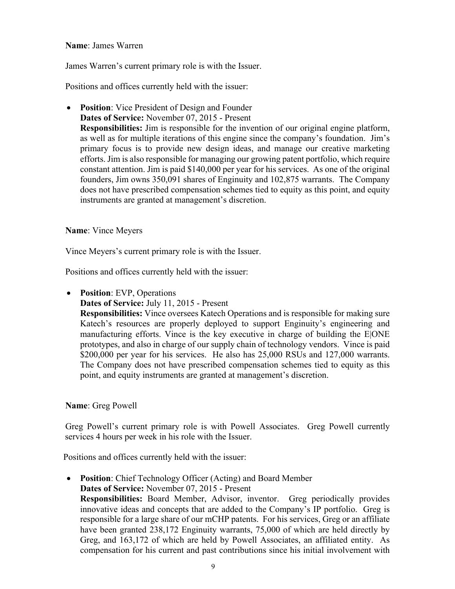#### **Name**: James Warren

James Warren's current primary role is with the Issuer.

Positions and offices currently held with the issuer:

• **Position**: Vice President of Design and Founder **Dates of Service:** November 07, 2015 - Present **Responsibilities:** Jim is responsible for the invention of our original engine platform, as well as for multiple iterations of this engine since the company's foundation. Jim's primary focus is to provide new design ideas, and manage our creative marketing efforts. Jim is also responsible for managing our growing patent portfolio, which require constant attention. Jim is paid \$140,000 per year for his services. As one of the original founders, Jim owns 350,091 shares of Enginuity and 102,875 warrants. The Company does not have prescribed compensation schemes tied to equity as this point, and equity instruments are granted at management's discretion.

#### **Name**: Vince Meyers

Vince Meyers's current primary role is with the Issuer.

Positions and offices currently held with the issuer:

• **Position**: EVP, Operations

**Dates of Service:** July 11, 2015 - Present

**Responsibilities:** Vince oversees Katech Operations and is responsible for making sure Katech's resources are properly deployed to support Enginuity's engineering and manufacturing efforts. Vince is the key executive in charge of building the E|ONE prototypes, and also in charge of our supply chain of technology vendors. Vince is paid \$200,000 per year for his services. He also has 25,000 RSUs and 127,000 warrants. The Company does not have prescribed compensation schemes tied to equity as this point, and equity instruments are granted at management's discretion.

#### **Name**: Greg Powell

Greg Powell's current primary role is with Powell Associates. Greg Powell currently services 4 hours per week in his role with the Issuer.

Positions and offices currently held with the issuer:

• **Position**: Chief Technology Officer (Acting) and Board Member **Dates of Service:** November 07, 2015 - Present **Responsibilities:** Board Member, Advisor, inventor. Greg periodically provides innovative ideas and concepts that are added to the Company's IP portfolio. Greg is responsible for a large share of our mCHP patents. For his services, Greg or an affiliate have been granted 238,172 Enginuity warrants, 75,000 of which are held directly by Greg, and 163,172 of which are held by Powell Associates, an affiliated entity. As compensation for his current and past contributions since his initial involvement with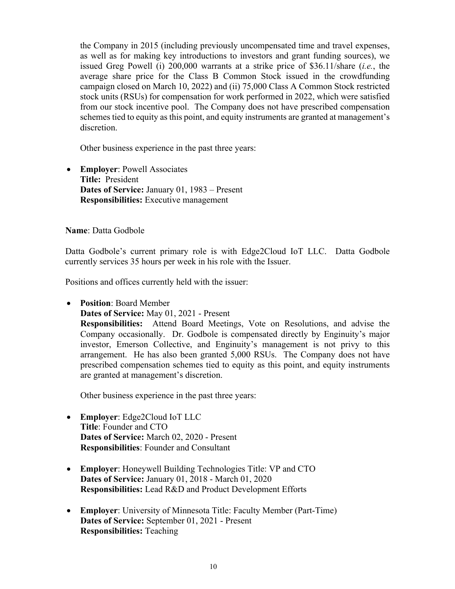the Company in 2015 (including previously uncompensated time and travel expenses, as well as for making key introductions to investors and grant funding sources), we issued Greg Powell (i) 200,000 warrants at a strike price of \$36.11/share (*i.e.*, the average share price for the Class B Common Stock issued in the crowdfunding campaign closed on March 10, 2022) and (ii) 75,000 Class A Common Stock restricted stock units (RSUs) for compensation for work performed in 2022, which were satisfied from our stock incentive pool. The Company does not have prescribed compensation schemes tied to equity as this point, and equity instruments are granted at management's discretion.

Other business experience in the past three years:

• **Employer**: Powell Associates **Title:** President **Dates of Service:** January 01, 1983 – Present **Responsibilities:** Executive management

**Name**: Datta Godbole

Datta Godbole's current primary role is with Edge2Cloud IoT LLC. Datta Godbole currently services 35 hours per week in his role with the Issuer.

Positions and offices currently held with the issuer:

- **Position**: Board Member
	- **Dates of Service:** May 01, 2021 Present

**Responsibilities:** Attend Board Meetings, Vote on Resolutions, and advise the Company occasionally. Dr. Godbole is compensated directly by Enginuity's major investor, Emerson Collective, and Enginuity's management is not privy to this arrangement. He has also been granted 5,000 RSUs. The Company does not have prescribed compensation schemes tied to equity as this point, and equity instruments are granted at management's discretion.

Other business experience in the past three years:

- **Employer**: Edge2Cloud IoT LLC **Title**: Founder and CTO **Dates of Service:** March 02, 2020 - Present **Responsibilities**: Founder and Consultant
- **Employer**: Honeywell Building Technologies Title: VP and CTO **Dates of Service:** January 01, 2018 - March 01, 2020 **Responsibilities:** Lead R&D and Product Development Efforts
- **Employer**: University of Minnesota Title: Faculty Member (Part-Time) **Dates of Service:** September 01, 2021 - Present **Responsibilities:** Teaching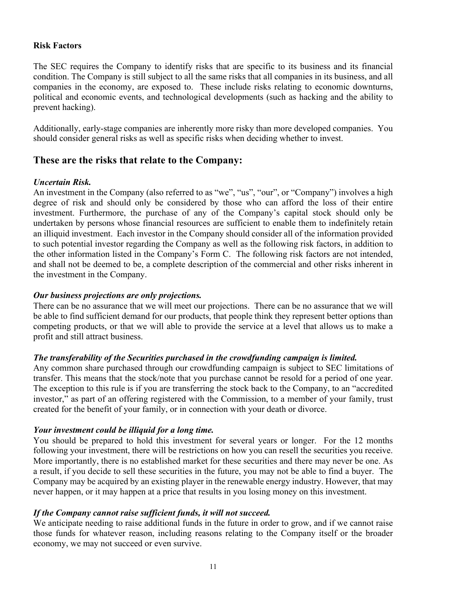#### **Risk Factors**

The SEC requires the Company to identify risks that are specific to its business and its financial condition. The Company is still subject to all the same risks that all companies in its business, and all companies in the economy, are exposed to. These include risks relating to economic downturns, political and economic events, and technological developments (such as hacking and the ability to prevent hacking).

Additionally, early-stage companies are inherently more risky than more developed companies. You should consider general risks as well as specific risks when deciding whether to invest.

# **These are the risks that relate to the Company:**

#### *Uncertain Risk.*

An investment in the Company (also referred to as "we", "us", "our", or "Company") involves a high degree of risk and should only be considered by those who can afford the loss of their entire investment. Furthermore, the purchase of any of the Company's capital stock should only be undertaken by persons whose financial resources are sufficient to enable them to indefinitely retain an illiquid investment. Each investor in the Company should consider all of the information provided to such potential investor regarding the Company as well as the following risk factors, in addition to the other information listed in the Company's Form C. The following risk factors are not intended, and shall not be deemed to be, a complete description of the commercial and other risks inherent in the investment in the Company.

#### *Our business projections are only projections.*

There can be no assurance that we will meet our projections. There can be no assurance that we will be able to find sufficient demand for our products, that people think they represent better options than competing products, or that we will able to provide the service at a level that allows us to make a profit and still attract business.

#### *The transferability of the Securities purchased in the crowdfunding campaign is limited.*

Any common share purchased through our crowdfunding campaign is subject to SEC limitations of transfer. This means that the stock/note that you purchase cannot be resold for a period of one year. The exception to this rule is if you are transferring the stock back to the Company, to an "accredited investor," as part of an offering registered with the Commission, to a member of your family, trust created for the benefit of your family, or in connection with your death or divorce.

#### *Your investment could be illiquid for a long time.*

You should be prepared to hold this investment for several years or longer. For the 12 months following your investment, there will be restrictions on how you can resell the securities you receive. More importantly, there is no established market for these securities and there may never be one. As a result, if you decide to sell these securities in the future, you may not be able to find a buyer. The Company may be acquired by an existing player in the renewable energy industry. However, that may never happen, or it may happen at a price that results in you losing money on this investment.

#### *If the Company cannot raise sufficient funds, it will not succeed.*

We anticipate needing to raise additional funds in the future in order to grow, and if we cannot raise those funds for whatever reason, including reasons relating to the Company itself or the broader economy, we may not succeed or even survive.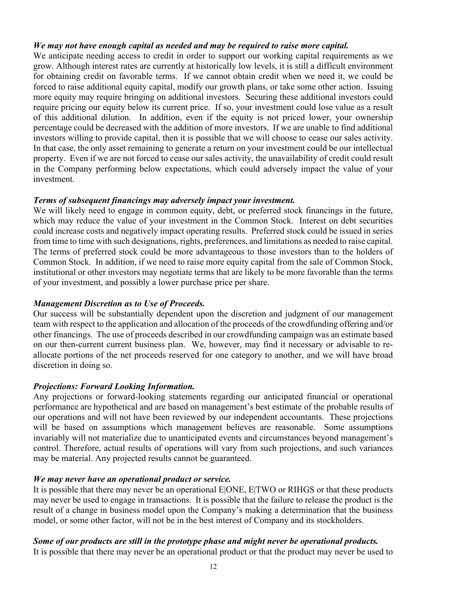#### *We may not have enough capital as needed and may be required to raise more capital.*

We anticipate needing access to credit in order to support our working capital requirements as we grow. Although interest rates are currently at historically low levels, it is still a difficult environment for obtaining credit on favorable terms. If we cannot obtain credit when we need it, we could be forced to raise additional equity capital, modify our growth plans, or take some other action. Issuing more equity may require bringing on additional investors. Securing these additional investors could require pricing our equity below its current price. If so, your investment could lose value as a result of this additional dilution. In addition, even if the equity is not priced lower, your ownership percentage could be decreased with the addition of more investors. If we are unable to find additional investors willing to provide capital, then it is possible that we will choose to cease our sales activity. In that case, the only asset remaining to generate a return on your investment could be our intellectual property. Even if we are not forced to cease our sales activity, the unavailability of credit could result in the Company performing below expectations, which could adversely impact the value of your investment.

#### *Terms of subsequent financings may adversely impact your investment.*

We will likely need to engage in common equity, debt, or preferred stock financings in the future, which may reduce the value of your investment in the Common Stock. Interest on debt securities could increase costs and negatively impact operating results. Preferred stock could be issued in series from time to time with such designations, rights, preferences, and limitations as needed to raise capital. The terms of preferred stock could be more advantageous to those investors than to the holders of Common Stock. In addition, if we need to raise more equity capital from the sale of Common Stock, institutional or other investors may negotiate terms that are likely to be more favorable than the terms of your investment, and possibly a lower purchase price per share.

#### *Management Discretion as to Use of Proceeds.*

Our success will be substantially dependent upon the discretion and judgment of our management team with respect to the application and allocation of the proceeds of the crowdfunding offering and/or other financings. The use of proceeds described in our crowdfunding campaign was an estimate based on our then-current current business plan. We, however, may find it necessary or advisable to reallocate portions of the net proceeds reserved for one category to another, and we will have broad discretion in doing so.

#### *Projections: Forward Looking Information.*

Any projections or forward-looking statements regarding our anticipated financial or operational performance are hypothetical and are based on management's best estimate of the probable results of our operations and will not have been reviewed by our independent accountants. These projections will be based on assumptions which management believes are reasonable. Some assumptions invariably will not materialize due to unanticipated events and circumstances beyond management's control. Therefore, actual results of operations will vary from such projections, and such variances may be material. Any projected results cannot be guaranteed.

#### *We may never have an operational product or service.*

It is possible that there may never be an operational E|ONE, E|TWO or RIHGS or that these products may never be used to engage in transactions. It is possible that the failure to release the product is the result of a change in business model upon the Company's making a determination that the business model, or some other factor, will not be in the best interest of Company and its stockholders.

#### *Some of our products are still in the prototype phase and might never be operational products.*

It is possible that there may never be an operational product or that the product may never be used to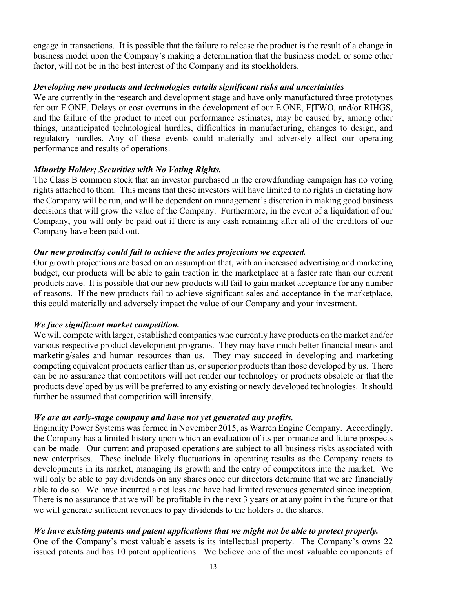engage in transactions. It is possible that the failure to release the product is the result of a change in business model upon the Company's making a determination that the business model, or some other factor, will not be in the best interest of the Company and its stockholders.

#### *Developing new products and technologies entails significant risks and uncertainties*

We are currently in the research and development stage and have only manufactured three prototypes for our E|ONE. Delays or cost overruns in the development of our E|ONE, E|TWO, and/or RIHGS, and the failure of the product to meet our performance estimates, may be caused by, among other things, unanticipated technological hurdles, difficulties in manufacturing, changes to design, and regulatory hurdles. Any of these events could materially and adversely affect our operating performance and results of operations.

#### *Minority Holder; Securities with No Voting Rights.*

The Class B common stock that an investor purchased in the crowdfunding campaign has no voting rights attached to them. This means that these investors will have limited to no rights in dictating how the Company will be run, and will be dependent on management's discretion in making good business decisions that will grow the value of the Company. Furthermore, in the event of a liquidation of our Company, you will only be paid out if there is any cash remaining after all of the creditors of our Company have been paid out.

#### *Our new product(s) could fail to achieve the sales projections we expected.*

Our growth projections are based on an assumption that, with an increased advertising and marketing budget, our products will be able to gain traction in the marketplace at a faster rate than our current products have. It is possible that our new products will fail to gain market acceptance for any number of reasons. If the new products fail to achieve significant sales and acceptance in the marketplace, this could materially and adversely impact the value of our Company and your investment.

#### *We face significant market competition.*

We will compete with larger, established companies who currently have products on the market and/or various respective product development programs. They may have much better financial means and marketing/sales and human resources than us. They may succeed in developing and marketing competing equivalent products earlier than us, or superior products than those developed by us. There can be no assurance that competitors will not render our technology or products obsolete or that the products developed by us will be preferred to any existing or newly developed technologies. It should further be assumed that competition will intensify.

#### *We are an early-stage company and have not yet generated any profits.*

Enginuity Power Systems was formed in November 2015, as Warren Engine Company. Accordingly, the Company has a limited history upon which an evaluation of its performance and future prospects can be made. Our current and proposed operations are subject to all business risks associated with new enterprises. These include likely fluctuations in operating results as the Company reacts to developments in its market, managing its growth and the entry of competitors into the market. We will only be able to pay dividends on any shares once our directors determine that we are financially able to do so. We have incurred a net loss and have had limited revenues generated since inception. There is no assurance that we will be profitable in the next 3 years or at any point in the future or that we will generate sufficient revenues to pay dividends to the holders of the shares.

#### *We have existing patents and patent applications that we might not be able to protect properly.*

One of the Company's most valuable assets is its intellectual property. The Company's owns 22 issued patents and has 10 patent applications. We believe one of the most valuable components of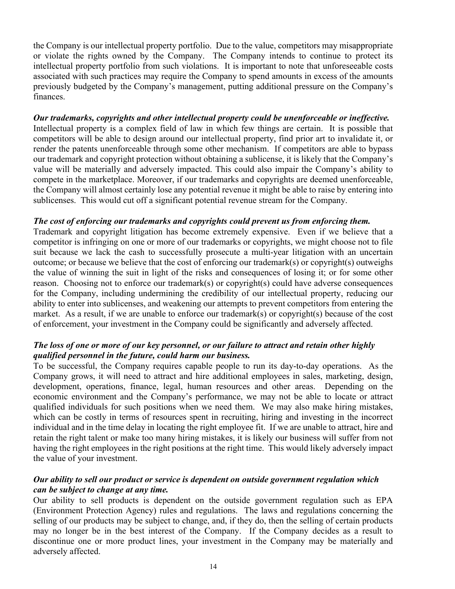the Company is our intellectual property portfolio. Due to the value, competitors may misappropriate or violate the rights owned by the Company. The Company intends to continue to protect its intellectual property portfolio from such violations. It is important to note that unforeseeable costs associated with such practices may require the Company to spend amounts in excess of the amounts previously budgeted by the Company's management, putting additional pressure on the Company's finances.

#### *Our trademarks, copyrights and other intellectual property could be unenforceable or ineffective.*

Intellectual property is a complex field of law in which few things are certain. It is possible that competitors will be able to design around our intellectual property, find prior art to invalidate it, or render the patents unenforceable through some other mechanism. If competitors are able to bypass our trademark and copyright protection without obtaining a sublicense, it is likely that the Company's value will be materially and adversely impacted. This could also impair the Company's ability to compete in the marketplace. Moreover, if our trademarks and copyrights are deemed unenforceable, the Company will almost certainly lose any potential revenue it might be able to raise by entering into sublicenses. This would cut off a significant potential revenue stream for the Company.

#### *The cost of enforcing our trademarks and copyrights could prevent us from enforcing them.*

Trademark and copyright litigation has become extremely expensive. Even if we believe that a competitor is infringing on one or more of our trademarks or copyrights, we might choose not to file suit because we lack the cash to successfully prosecute a multi-year litigation with an uncertain outcome; or because we believe that the cost of enforcing our trademark(s) or copyright(s) outweighs the value of winning the suit in light of the risks and consequences of losing it; or for some other reason. Choosing not to enforce our trademark(s) or copyright(s) could have adverse consequences for the Company, including undermining the credibility of our intellectual property, reducing our ability to enter into sublicenses, and weakening our attempts to prevent competitors from entering the market. As a result, if we are unable to enforce our trademark(s) or copyright(s) because of the cost of enforcement, your investment in the Company could be significantly and adversely affected.

#### *The loss of one or more of our key personnel, or our failure to attract and retain other highly qualified personnel in the future, could harm our business.*

To be successful, the Company requires capable people to run its day-to-day operations. As the Company grows, it will need to attract and hire additional employees in sales, marketing, design, development, operations, finance, legal, human resources and other areas. Depending on the economic environment and the Company's performance, we may not be able to locate or attract qualified individuals for such positions when we need them. We may also make hiring mistakes, which can be costly in terms of resources spent in recruiting, hiring and investing in the incorrect individual and in the time delay in locating the right employee fit. If we are unable to attract, hire and retain the right talent or make too many hiring mistakes, it is likely our business will suffer from not having the right employees in the right positions at the right time. This would likely adversely impact the value of your investment.

#### *Our ability to sell our product or service is dependent on outside government regulation which can be subject to change at any time.*

Our ability to sell products is dependent on the outside government regulation such as EPA (Environment Protection Agency) rules and regulations. The laws and regulations concerning the selling of our products may be subject to change, and, if they do, then the selling of certain products may no longer be in the best interest of the Company. If the Company decides as a result to discontinue one or more product lines, your investment in the Company may be materially and adversely affected.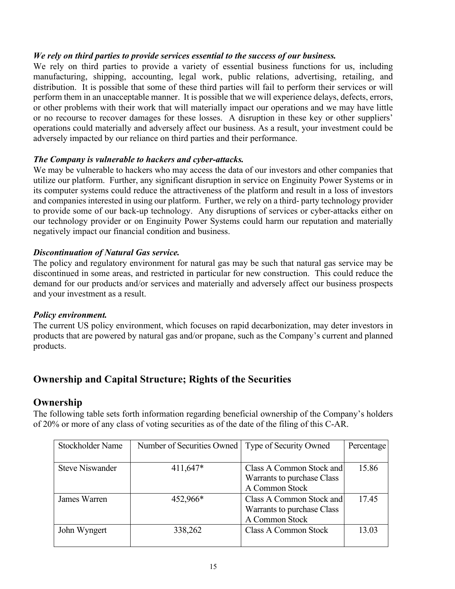#### *We rely on third parties to provide services essential to the success of our business.*

We rely on third parties to provide a variety of essential business functions for us, including manufacturing, shipping, accounting, legal work, public relations, advertising, retailing, and distribution. It is possible that some of these third parties will fail to perform their services or will perform them in an unacceptable manner. It is possible that we will experience delays, defects, errors, or other problems with their work that will materially impact our operations and we may have little or no recourse to recover damages for these losses. A disruption in these key or other suppliers' operations could materially and adversely affect our business. As a result, your investment could be adversely impacted by our reliance on third parties and their performance.

#### *The Company is vulnerable to hackers and cyber-attacks.*

We may be vulnerable to hackers who may access the data of our investors and other companies that utilize our platform. Further, any significant disruption in service on Enginuity Power Systems or in its computer systems could reduce the attractiveness of the platform and result in a loss of investors and companies interested in using our platform. Further, we rely on a third- party technology provider to provide some of our back-up technology. Any disruptions of services or cyber-attacks either on our technology provider or on Enginuity Power Systems could harm our reputation and materially negatively impact our financial condition and business.

#### *Discontinuation of Natural Gas service.*

The policy and regulatory environment for natural gas may be such that natural gas service may be discontinued in some areas, and restricted in particular for new construction. This could reduce the demand for our products and/or services and materially and adversely affect our business prospects and your investment as a result.

#### *Policy environment.*

The current US policy environment, which focuses on rapid decarbonization, may deter investors in products that are powered by natural gas and/or propane, such as the Company's current and planned products.

# **Ownership and Capital Structure; Rights of the Securities**

#### **Ownership**

The following table sets forth information regarding beneficial ownership of the Company's holders of 20% or more of any class of voting securities as of the date of the filing of this C-AR.

| Stockholder Name       | Number of Securities Owned | Type of Security Owned     | Percentage |
|------------------------|----------------------------|----------------------------|------------|
|                        |                            |                            |            |
| <b>Steve Niswander</b> | $411,647*$                 | Class A Common Stock and   | 15.86      |
|                        |                            | Warrants to purchase Class |            |
|                        |                            | A Common Stock             |            |
| James Warren           | 452,966*                   | Class A Common Stock and   | 17.45      |
|                        |                            | Warrants to purchase Class |            |
|                        |                            | A Common Stock             |            |
| John Wyngert           | 338,262                    | Class A Common Stock       | 13.03      |
|                        |                            |                            |            |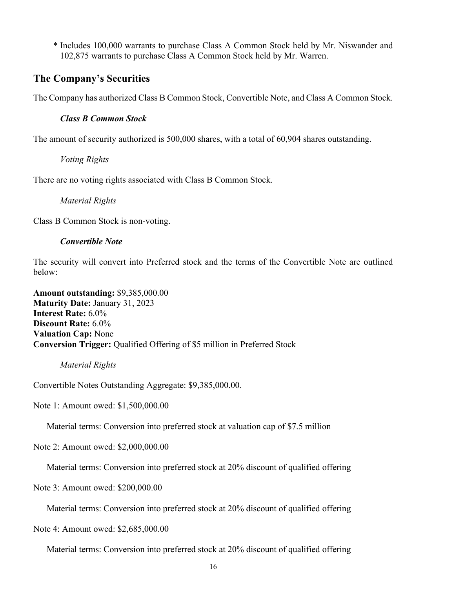\* Includes 100,000 warrants to purchase Class A Common Stock held by Mr. Niswander and 102,875 warrants to purchase Class A Common Stock held by Mr. Warren.

# **The Company's Securities**

The Company has authorized Class B Common Stock, Convertible Note, and Class A Common Stock.

#### *Class B Common Stock*

The amount of security authorized is 500,000 shares, with a total of 60,904 shares outstanding.

*Voting Rights*

There are no voting rights associated with Class B Common Stock.

*Material Rights*

Class B Common Stock is non-voting.

#### *Convertible Note*

The security will convert into Preferred stock and the terms of the Convertible Note are outlined below:

**Amount outstanding:** \$9,385,000.00 **Maturity Date:** January 31, 2023 **Interest Rate:** 6.0% **Discount Rate:** 6.0% **Valuation Cap:** None **Conversion Trigger:** Qualified Offering of \$5 million in Preferred Stock

*Material Rights*

Convertible Notes Outstanding Aggregate: \$9,385,000.00.

Note 1: Amount owed: \$1,500,000.00

Material terms: Conversion into preferred stock at valuation cap of \$7.5 million

Note 2: Amount owed: \$2,000,000.00

Material terms: Conversion into preferred stock at 20% discount of qualified offering

Note 3: Amount owed: \$200,000.00

Material terms: Conversion into preferred stock at 20% discount of qualified offering

Note 4: Amount owed: \$2,685,000.00

Material terms: Conversion into preferred stock at 20% discount of qualified offering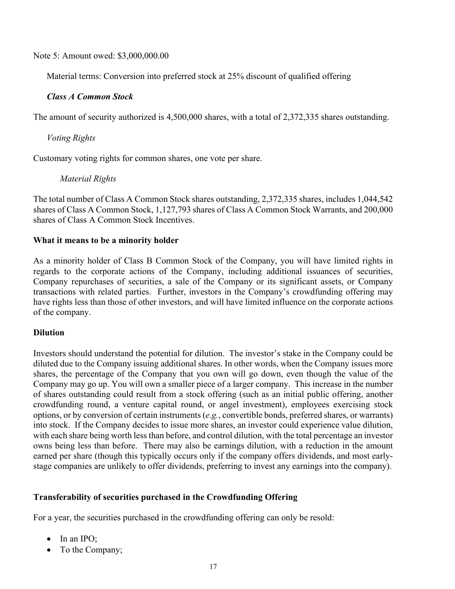Note 5: Amount owed: \$3,000,000.00

Material terms: Conversion into preferred stock at 25% discount of qualified offering

#### *Class A Common Stock*

The amount of security authorized is 4,500,000 shares, with a total of 2,372,335 shares outstanding.

*Voting Rights*

Customary voting rights for common shares, one vote per share.

#### *Material Rights*

The total number of Class A Common Stock shares outstanding, 2,372,335 shares, includes 1,044,542 shares of Class A Common Stock, 1,127,793 shares of Class A Common Stock Warrants, and 200,000 shares of Class A Common Stock Incentives.

#### **What it means to be a minority holder**

As a minority holder of Class B Common Stock of the Company, you will have limited rights in regards to the corporate actions of the Company, including additional issuances of securities, Company repurchases of securities, a sale of the Company or its significant assets, or Company transactions with related parties. Further, investors in the Company's crowdfunding offering may have rights less than those of other investors, and will have limited influence on the corporate actions of the company.

#### **Dilution**

Investors should understand the potential for dilution. The investor's stake in the Company could be diluted due to the Company issuing additional shares. In other words, when the Company issues more shares, the percentage of the Company that you own will go down, even though the value of the Company may go up. You will own a smaller piece of a larger company. This increase in the number of shares outstanding could result from a stock offering (such as an initial public offering, another crowdfunding round, a venture capital round, or angel investment), employees exercising stock options, or by conversion of certain instruments (*e.g.*, convertible bonds, preferred shares, or warrants) into stock. If the Company decides to issue more shares, an investor could experience value dilution, with each share being worth less than before, and control dilution, with the total percentage an investor owns being less than before. There may also be earnings dilution, with a reduction in the amount earned per share (though this typically occurs only if the company offers dividends, and most earlystage companies are unlikely to offer dividends, preferring to invest any earnings into the company).

#### **Transferability of securities purchased in the Crowdfunding Offering**

For a year, the securities purchased in the crowdfunding offering can only be resold:

- In an IPO;
- To the Company;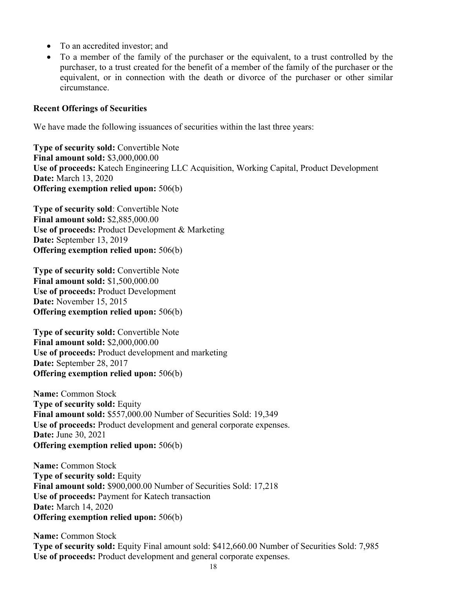- To an accredited investor; and
- To a member of the family of the purchaser or the equivalent, to a trust controlled by the purchaser, to a trust created for the benefit of a member of the family of the purchaser or the equivalent, or in connection with the death or divorce of the purchaser or other similar circumstance.

#### **Recent Offerings of Securities**

We have made the following issuances of securities within the last three years:

**Type of security sold:** Convertible Note **Final amount sold:** \$3,000,000.00 **Use of proceeds:** Katech Engineering LLC Acquisition, Working Capital, Product Development **Date:** March 13, 2020 **Offering exemption relied upon:** 506(b)

**Type of security sold**: Convertible Note **Final amount sold:** \$2,885,000.00 **Use of proceeds:** Product Development & Marketing **Date:** September 13, 2019 **Offering exemption relied upon:** 506(b)

**Type of security sold:** Convertible Note **Final amount sold:** \$1,500,000.00 **Use of proceeds:** Product Development **Date:** November 15, 2015 **Offering exemption relied upon:** 506(b)

**Type of security sold:** Convertible Note **Final amount sold:** \$2,000,000.00 **Use of proceeds:** Product development and marketing **Date:** September 28, 2017 **Offering exemption relied upon:** 506(b)

**Name:** Common Stock **Type of security sold:** Equity **Final amount sold:** \$557,000.00 Number of Securities Sold: 19,349 **Use of proceeds:** Product development and general corporate expenses. **Date:** June 30, 2021 **Offering exemption relied upon:** 506(b)

**Name:** Common Stock **Type of security sold:** Equity **Final amount sold:** \$900,000.00 Number of Securities Sold: 17,218 **Use of proceeds:** Payment for Katech transaction **Date:** March 14, 2020 **Offering exemption relied upon:** 506(b)

**Name:** Common Stock **Type of security sold:** Equity Final amount sold: \$412,660.00 Number of Securities Sold: 7,985 **Use of proceeds:** Product development and general corporate expenses.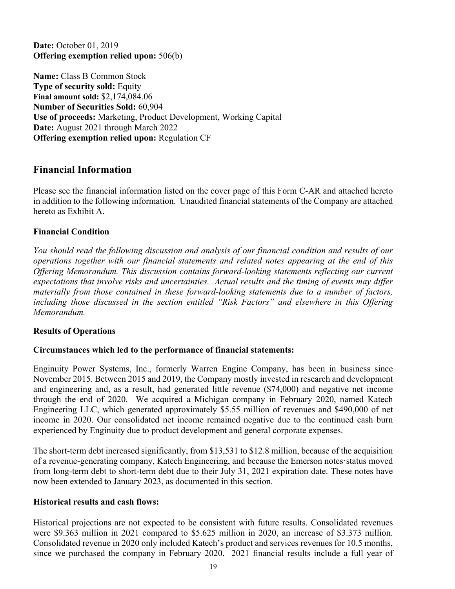**Date:** October 01, 2019 **Offering exemption relied upon:** 506(b)

**Name:** Class B Common Stock **Type of security sold:** Equity **Final amount sold:** \$2,174,084.06 **Number of Securities Sold:** 60,904 **Use of proceeds:** Marketing, Product Development, Working Capital **Date:** August 2021 through March 2022 **Offering exemption relied upon:** Regulation CF

# **Financial Information**

Please see the financial information listed on the cover page of this Form C-AR and attached hereto in addition to the following information. Unaudited financial statements of the Company are attached hereto as Exhibit A.

#### **Financial Condition**

*You should read the following discussion and analysis of our financial condition and results of our operations together with our financial statements and related notes appearing at the end of this Offering Memorandum. This discussion contains forward-looking statements reflecting our current expectations that involve risks and uncertainties. Actual results and the timing of events may differ materially from those contained in these forward-looking statements due to a number of factors, including those discussed in the section entitled "Risk Factors" and elsewhere in this Offering Memorandum.*

#### **Results of Operations**

#### **Circumstances which led to the performance of financial statements:**

Enginuity Power Systems, Inc., formerly Warren Engine Company, has been in business since November 2015. Between 2015 and 2019, the Company mostly invested in research and development and engineering and, as a result, had generated little revenue (\$74,000) and negative net income through the end of 2020. We acquired a Michigan company in February 2020, named Katech Engineering LLC, which generated approximately \$5.55 million of revenues and \$490,000 of net income in 2020. Our consolidated net income remained negative due to the continued cash burn experienced by Enginuity due to product development and general corporate expenses.

The short-term debt increased significantly, from \$13,531 to \$12.8 million, because of the acquisition of a revenue-generating company, Katech Engineering, and because the Emerson notes·status moved from long-term debt to short-term debt due to their July 31, 2021 expiration date. These notes have now been extended to January 2023, as documented in this section.

#### **Historical results and cash flows:**

Historical projections are not expected to be consistent with future results. Consolidated revenues were \$9.363 million in 2021 compared to \$5.625 million in 2020, an increase of \$3.373 million. Consolidated revenue in 2020 only included Katech's product and services revenues for 10.5 months, since we purchased the company in February 2020. 2021 financial results include a full year of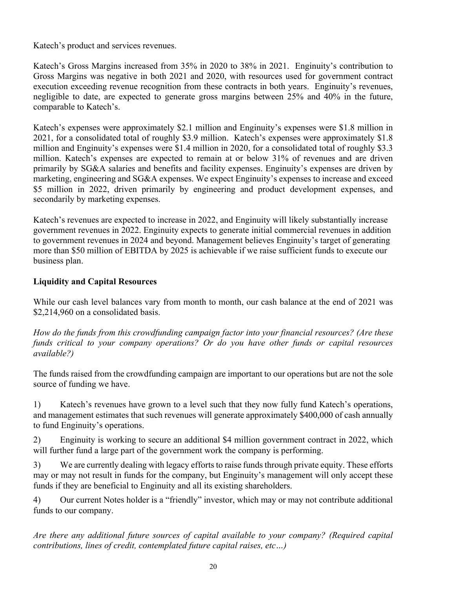Katech's product and services revenues.

Katech's Gross Margins increased from 35% in 2020 to 38% in 2021. Enginuity's contribution to Gross Margins was negative in both 2021 and 2020, with resources used for government contract execution exceeding revenue recognition from these contracts in both years. Enginuity's revenues, negligible to date, are expected to generate gross margins between 25% and 40% in the future, comparable to Katech's.

Katech's expenses were approximately \$2.1 million and Enginuity's expenses were \$1.8 million in 2021, for a consolidated total of roughly \$3.9 million. Katech's expenses were approximately \$1.8 million and Enginuity's expenses were \$1.4 million in 2020, for a consolidated total of roughly \$3.3 million. Katech's expenses are expected to remain at or below 31% of revenues and are driven primarily by SG&A salaries and benefits and facility expenses. Enginuity's expenses are driven by marketing, engineering and SG&A expenses. We expect Enginuity's expenses to increase and exceed \$5 million in 2022, driven primarily by engineering and product development expenses, and secondarily by marketing expenses.

Katech's revenues are expected to increase in 2022, and Enginuity will likely substantially increase government revenues in 2022. Enginuity expects to generate initial commercial revenues in addition to government revenues in 2024 and beyond. Management believes Enginuity's target of generating more than \$50 million of EBITDA by 2025 is achievable if we raise sufficient funds to execute our business plan.

# **Liquidity and Capital Resources**

While our cash level balances vary from month to month, our cash balance at the end of 2021 was \$2,214,960 on a consolidated basis.

*How do the funds from this crowdfunding campaign factor into your financial resources? (Are these funds critical to your company operations? Or do you have other funds or capital resources available?)*

The funds raised from the crowdfunding campaign are important to our operations but are not the sole source of funding we have.

1) Katech's revenues have grown to a level such that they now fully fund Katech's operations, and management estimates that such revenues will generate approximately \$400,000 of cash annually to fund Enginuity's operations.

2) Enginuity is working to secure an additional \$4 million government contract in 2022, which will further fund a large part of the government work the company is performing.

3) We are currently dealing with legacy efforts to raise funds through private equity. These efforts may or may not result in funds for the company, but Enginuity's management will only accept these funds if they are beneficial to Enginuity and all its existing shareholders.

4) Our current Notes holder is a "friendly" investor, which may or may not contribute additional funds to our company.

*Are there any additional future sources of capital available to your company? (Required capital contributions, lines of credit, contemplated future capital raises, etc…)*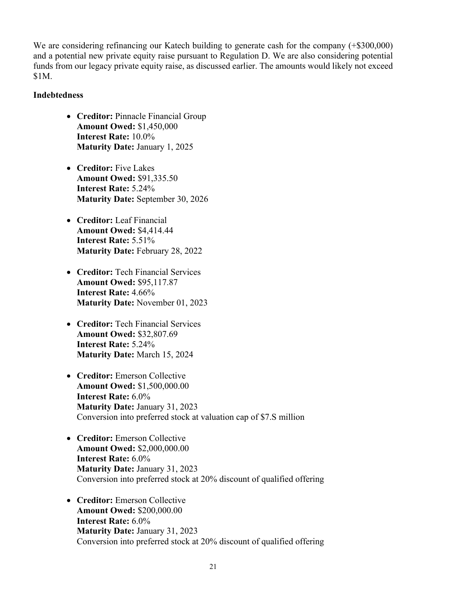We are considering refinancing our Katech building to generate cash for the company (+\$300,000) and a potential new private equity raise pursuant to Regulation D. We are also considering potential funds from our legacy private equity raise, as discussed earlier. The amounts would likely not exceed \$1M.

#### **Indebtedness**

- **Creditor:** Pinnacle Financial Group **Amount Owed:** \$1,450,000 **Interest Rate:** 10.0% **Maturity Date:** January 1, 2025
- **Creditor:** Five Lakes **Amount Owed:** \$91,335.50 **Interest Rate:** 5.24% **Maturity Date:** September 30, 2026
- **Creditor:** Leaf Financial **Amount Owed:** \$4,414.44 **Interest Rate:** 5.51% **Maturity Date:** February 28, 2022
- **Creditor:** Tech Financial Services **Amount Owed:** \$95,117.87 **Interest Rate:** 4.66% **Maturity Date:** November 01, 2023
- **Creditor:** Tech Financial Services **Amount Owed:** \$32,807.69 **Interest Rate:** 5.24% **Maturity Date:** March 15, 2024
- **Creditor:** Emerson Collective **Amount Owed:** \$1,500,000.00 **Interest Rate:** 6.0% **Maturity Date:** January 31, 2023 Conversion into preferred stock at valuation cap of \$7.S million
- **Creditor:** Emerson Collective **Amount Owed:** \$2,000,000.00 **Interest Rate:** 6.0% **Maturity Date:** January 31, 2023 Conversion into preferred stock at 20% discount of qualified offering
- **Creditor:** Emerson Collective **Amount Owed:** \$200,000.00 **Interest Rate:** 6.0% **Maturity Date:** January 31, 2023 Conversion into preferred stock at 20% discount of qualified offering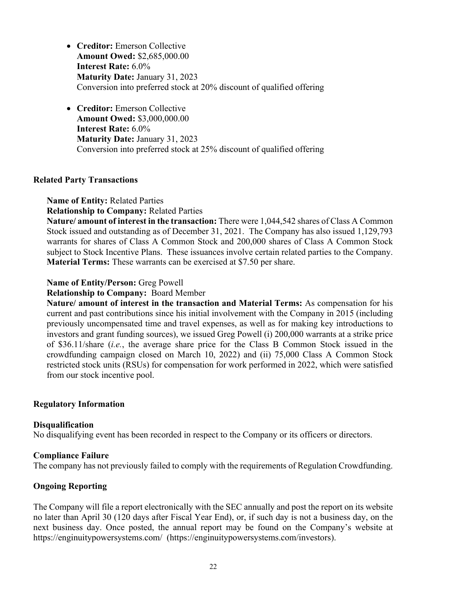- **Creditor:** Emerson Collective **Amount Owed:** \$2,685,000.00 **Interest Rate:** 6.0% **Maturity Date:** January 31, 2023 Conversion into preferred stock at 20% discount of qualified offering
- **Creditor:** Emerson Collective **Amount Owed:** \$3,000,000.00 **Interest Rate:** 6.0% **Maturity Date:** January 31, 2023 Conversion into preferred stock at 25% discount of qualified offering

#### **Related Party Transactions**

**Name of Entity:** Related Parties

**Relationship to Company:** Related Parties

**Nature/ amount of interest in the transaction:** There were 1,044,542 shares of Class A Common Stock issued and outstanding as of December 31, 2021. The Company has also issued 1,129,793 warrants for shares of Class A Common Stock and 200,000 shares of Class A Common Stock subject to Stock Incentive Plans. These issuances involve certain related parties to the Company. **Material Terms:** These warrants can be exercised at \$7.50 per share.

#### **Name of Entity/Person:** Greg Powell

**Relationship to Company:** Board Member

**Nature/ amount of interest in the transaction and Material Terms:** As compensation for his current and past contributions since his initial involvement with the Company in 2015 (including previously uncompensated time and travel expenses, as well as for making key introductions to investors and grant funding sources), we issued Greg Powell (i) 200,000 warrants at a strike price of \$36.11/share (*i.e.*, the average share price for the Class B Common Stock issued in the crowdfunding campaign closed on March 10, 2022) and (ii) 75,000 Class A Common Stock restricted stock units (RSUs) for compensation for work performed in 2022, which were satisfied from our stock incentive pool.

#### **Regulatory Information**

#### **Disqualification**

No disqualifying event has been recorded in respect to the Company or its officers or directors.

#### **Compliance Failure**

The company has not previously failed to comply with the requirements of Regulation Crowdfunding.

#### **Ongoing Reporting**

The Company will file a report electronically with the SEC annually and post the report on its website no later than April 30 (120 days after Fiscal Year End), or, if such day is not a business day, on the next business day. Once posted, the annual report may be found on the Company's website at https://enginuitypowersystems.com/ (https://enginuitypowersystems.com/investors).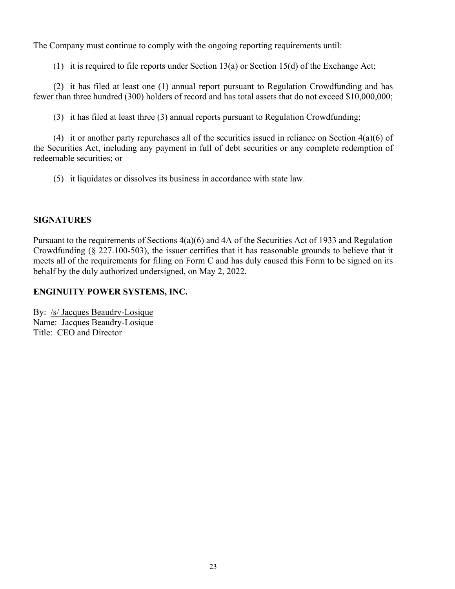The Company must continue to comply with the ongoing reporting requirements until:

(1) it is required to file reports under Section 13(a) or Section 15(d) of the Exchange Act;

(2) it has filed at least one (1) annual report pursuant to Regulation Crowdfunding and has fewer than three hundred (300) holders of record and has total assets that do not exceed \$10,000,000;

(3) it has filed at least three (3) annual reports pursuant to Regulation Crowdfunding;

(4) it or another party repurchases all of the securities issued in reliance on Section 4(a)(6) of the Securities Act, including any payment in full of debt securities or any complete redemption of redeemable securities; or

(5) it liquidates or dissolves its business in accordance with state law.

#### **SIGNATURES**

Pursuant to the requirements of Sections 4(a)(6) and 4A of the Securities Act of 1933 and Regulation Crowdfunding (§ 227.100-503), the issuer certifies that it has reasonable grounds to believe that it meets all of the requirements for filing on Form C and has duly caused this Form to be signed on its behalf by the duly authorized undersigned, on May 2, 2022.

#### **ENGINUITY POWER SYSTEMS, INC.**

By: /s/ Jacques Beaudry-Losique Name: Jacques Beaudry-Losique Title: CEO and Director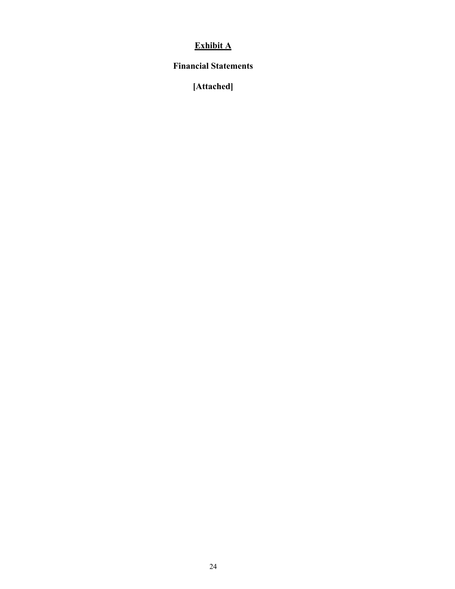# **Exhibit A**

## **Financial Statements**

**[Attached]**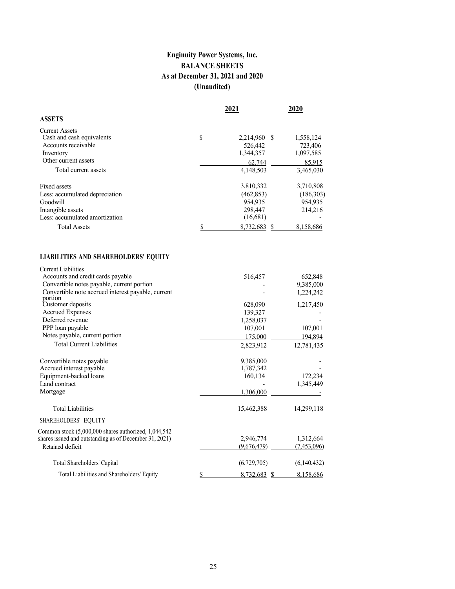## **Enginuity Power Systems, Inc. BALANCE SHEETS As at December 31, 2021 and 2020 (Unaudited)**

|                                                                                                                   | 2021                                                      | 2020                                         |
|-------------------------------------------------------------------------------------------------------------------|-----------------------------------------------------------|----------------------------------------------|
| <b>ASSETS</b>                                                                                                     |                                                           |                                              |
| <b>Current Assets</b><br>Cash and cash equivalents<br>Accounts receivable<br>Inventory                            | \$<br>2,214,960 \$<br>526,442<br>1,344,357                | 1,558,124<br>723,406<br>1,097,585            |
| Other current assets<br>Total current assets                                                                      | 62,744<br>4,148,503                                       | 85,915<br>3,465,030                          |
| Fixed assets<br>Less: accumulated depreciation<br>Goodwill<br>Intangible assets<br>Less: accumulated amortization | 3,810,332<br>(462, 853)<br>954,935<br>298,447<br>(16,681) | 3,710,808<br>(186,303)<br>954,935<br>214,216 |
| <b>Total Assets</b>                                                                                               | 8.732.683                                                 | 8,158,686                                    |

## **LIABILITIES AND SHAREHOLDERS' EQUITY**

| <b>Current Liabilities</b>                             |                      |             |
|--------------------------------------------------------|----------------------|-------------|
| Accounts and credit cards payable                      | 516,457              | 652,848     |
| Convertible notes payable, current portion             |                      | 9,385,000   |
| Convertible note accrued interest payable, current     |                      | 1,224,242   |
| portion                                                |                      |             |
| Customer deposits                                      | 628,090              | 1,217,450   |
| <b>Accrued Expenses</b>                                | 139,327              |             |
| Deferred revenue                                       | 1,258,037            |             |
| PPP loan payable                                       | 107,001              | 107,001     |
| Notes payable, current portion                         | 175,000              | 194,894     |
| <b>Total Current Liabilities</b>                       | 2,823,912            | 12,781,435  |
| Convertible notes payable                              | 9,385,000            |             |
| Accrued interest payable                               | 1,787,342            |             |
| Equipment-backed loans                                 | 160,134              | 172,234     |
| Land contract                                          |                      | 1,345,449   |
| Mortgage                                               | 1,306,000            |             |
| <b>Total Liabilities</b>                               | 15,462,388           | 14,299,118  |
| SHAREHOLDERS' EQUITY                                   |                      |             |
| Common stock (5,000,000 shares authorized, 1,044,542   |                      |             |
| shares issued and outstanding as of December 31, 2021) | 2,946,774            | 1,312,664   |
| Retained deficit                                       | (9,676,479)          | (7,453,096) |
| Total Shareholders' Capital                            | (6,729,705)          | (6,140,432) |
| Total Liabilities and Shareholders' Equity             | \$<br>8,732,683<br>S | 8,158,686   |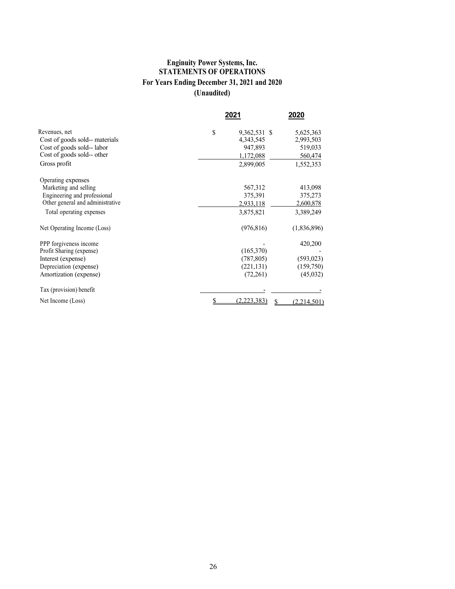#### **Enginuity Power Systems, Inc. STATEMENTS OF OPERATIONS For Years Ending December 31, 2021 and 2020 (Unaudited)**

|                                  | 2021               | 2020        |
|----------------------------------|--------------------|-------------|
| Revenues, net                    | \$<br>9,362,531 \$ | 5,625,363   |
| Cost of goods sold-- materials   | 4,343,545          | 2,993,503   |
| Cost of goods sold-- labor       | 947,893            | 519,033     |
| Cost of goods sold-- other       | 1,172,088          | 560,474     |
| Gross profit                     | 2,899,005          | 1,552,353   |
| Operating expenses               |                    |             |
| Marketing and selling            | 567,312            | 413,098     |
| Engineering and professional     | 375,391            | 375,273     |
| Other general and administrative | 2,933,118          | 2,600,878   |
| Total operating expenses         | 3,875,821          | 3,389,249   |
| Net Operating Income (Loss)      | (976, 816)         | (1,836,896) |
| PPP forgiveness income           |                    | 420,200     |
| Profit Sharing (expense)         | (165,370)          |             |
| Interest (expense)               | (787, 805)         | (593, 023)  |
| Depreciation (expense)           | (221, 131)         | (159,750)   |
| Amortization (expense)           | (72,261)           | (45,032)    |
| Tax (provision) benefit          |                    |             |
| Net Income (Loss)                | (2,223,383)        | (2,214,501) |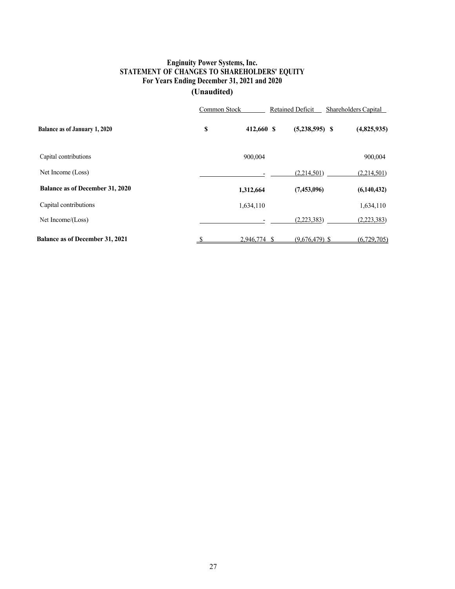## **Enginuity Power Systems, Inc. STATEMENT OF CHANGES TO SHAREHOLDERS' EQUITY For Years Ending December 31, 2021 and 2020**

# **(Unaudited)**

|                                        | Common Stock |            | Retained Deficit |                  | Shareholders Capital |             |
|----------------------------------------|--------------|------------|------------------|------------------|----------------------|-------------|
| <b>Balance as of January 1, 2020</b>   | \$           | 412,660 \$ |                  | $(5,238,595)$ \$ |                      | (4,825,935) |
| Capital contributions                  |              | 900,004    |                  |                  |                      | 900,004     |
| Net Income (Loss)                      |              |            |                  | (2,214,501)      |                      | (2,214,501) |
| <b>Balance as of December 31, 2020</b> |              | 1,312,664  |                  | (7,453,096)      |                      | (6,140,432) |
| Capital contributions                  |              | 1,634,110  |                  |                  |                      | 1,634,110   |
| Net Income/(Loss)                      |              |            |                  | (2,223,383)      |                      | (2,223,383) |
| <b>Balance as of December 31, 2021</b> | - \$         | 2,946,774  | -S               | $(9.676.479)$ \$ |                      | (6,729,705) |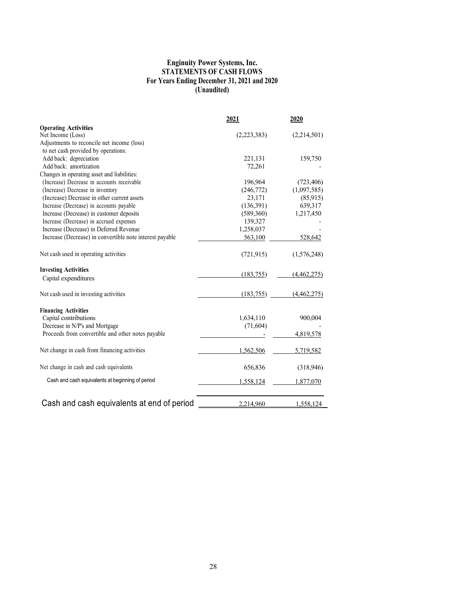#### **Enginuity Power Systems, Inc. STATEMENTS OF CASH FLOWS For Years Ending December 31, 2021 and 2020 (Unaudited)**

|                                                          | 2021        | 2020        |  |
|----------------------------------------------------------|-------------|-------------|--|
| <b>Operating Activities</b>                              |             |             |  |
| Net Income (Loss)                                        | (2,223,383) | (2,214,501) |  |
| Adjustments to reconcile net income (loss)               |             |             |  |
| to net cash provided by operations:                      |             |             |  |
| Add back: depreciation                                   | 221,131     | 159,750     |  |
| Add back: amortization                                   | 72,261      |             |  |
| Changes in operating asset and liabilities:              |             |             |  |
| (Increase) Decrease in accounts receivable               | 196,964     | (723, 406)  |  |
| (Increase) Decrease in inventory                         | (246,772)   | (1,097,585) |  |
| (Increase) Decrease in other current assets              | 23,171      | (85,915)    |  |
| Increase (Decrease) in accounts payable                  | (136,391)   | 639,317     |  |
| Increase (Decrease) in customer deposits                 | (589,360)   | 1,217,450   |  |
| Increase (Decrease) in accrued expenses                  | 139,327     |             |  |
| Increase (Decrease) in Deferred Revenue                  | 1,258,037   |             |  |
| Increase (Decrease) in convertible note interest payable | 563,100     | 528,642     |  |
| Net cash used in operating activities                    | (721, 915)  | (1,576,248) |  |
| <b>Investing Activities</b>                              |             |             |  |
| Capital expenditures                                     | (183,755)   | (4,462,275) |  |
| Net cash used in investing activities                    | (183,755)   | (4,462,275) |  |
| <b>Financing Activities</b>                              |             |             |  |
| Capital contributions                                    | 1,634,110   | 900,004     |  |
| Decrease in N/P's and Mortgage                           | (71, 604)   |             |  |
| Proceeds from convertible and other notes payable        |             | 4,819,578   |  |
| Net change in cash from financing activities             | 1,562,506   | 5,719,582   |  |
| Net change in cash and cash equivalents                  | 656,836     | (318,946)   |  |
| Cash and cash equivalents at beginning of period         | 1,558,124   | 1,877,070   |  |
| Cash and cash equivalents at end of period               | 2,214,960   | 1,558,124   |  |
|                                                          |             |             |  |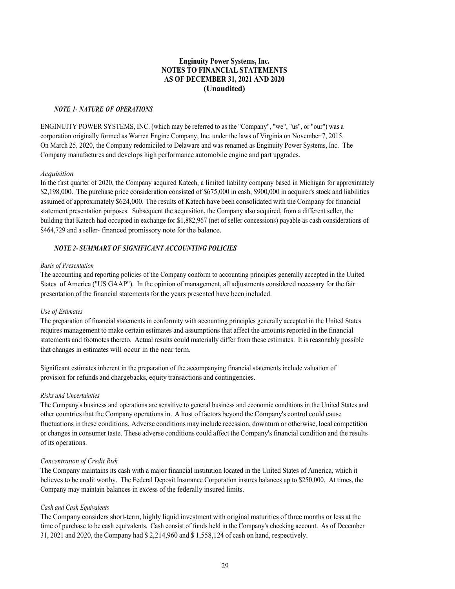#### **Enginuity Power Systems, Inc. NOTES TO FINANCIAL STATEMENTS AS OF DECEMBER 31, 2021 AND 2020 (Unaudited)**

#### *NOTE 1- NATURE OF OPERATIONS*

ENGINUITY POWER SYSTEMS, INC. (which may be referred to as the "Company", "we", "us", or "our") was a corporation originally formed as Warren Engine Company, Inc. under the laws of Virginia on November 7, 2015. On March 25, 2020, the Company redomiciled to Delaware and was renamed as Enginuity Power Systems, Inc. The Company manufactures and develops high performance automobile engine and part upgrades.

#### *Acquisition*

In the first quarter of 2020, the Company acquired Katech, a limited liability company based in Michigan for approximately \$2,198,000. The purchase price consideration consisted of \$675,000 in cash, \$900,000 in acquirer's stock and liabilities assumed of approximately \$624,000. The results of Katech have been consolidated with the Company for financial statement presentation purposes. Subsequent the acquisition, the Company also acquired, from a different seller, the building that Katech had occupied in exchange for \$1,882,967 (net of seller concessions) payable as cash considerations of \$464,729 and a seller- financed promissory note for the balance.

#### *NOTE 2- SUMMARY OF SIGNIFICANT ACCOUNTING POLICIES*

#### *Basis of Presentation*

The accounting and reporting policies of the Company conform to accounting principles generally accepted in the United States of America ("US GAAP"). In the opinion of management, all adjustments considered necessary for the fair presentation of the financial statements for the years presented have been included.

#### *Use of Estimates*

The preparation of financial statements in conformity with accounting principles generally accepted in the United States requires management to make certain estimates and assumptions that affect the amounts reported in the financial statements and footnotes thereto. Actual results could materially differ from these estimates. It is reasonably possible that changes in estimates will occur in the near term.

Significant estimates inherent in the preparation of the accompanying financial statements include valuation of provision for refunds and chargebacks, equity transactions and contingencies.

#### *Risks and Uncertainties*

The Company's business and operations are sensitive to general business and economic conditions in the United States and other countries that the Company operations in. A host of factors beyond the Company's control could cause fluctuations in these conditions. Adverse conditions may include recession, downturn or otherwise, local competition or changes in consumer taste. These adverse conditions could affect the Company's financial condition and the results of its operations.

#### *Concentration of Credit Risk*

The Company maintains its cash with a major financial institution located in the United States of America, which it believes to be credit worthy. The Federal Deposit Insurance Corporation insures balances up to \$250,000. At times, the Company may maintain balances in excess of the federally insured limits.

#### *Cash and Cash Equivalents*

The Company considers short-term, highly liquid investment with original maturities of three months or less at the time of purchase to be cash equivalents. Cash consist of funds held in the Company's checking account. As of December 31, 2021 and 2020, the Company had \$ 2,214,960 and \$ 1,558,124 of cash on hand, respectively.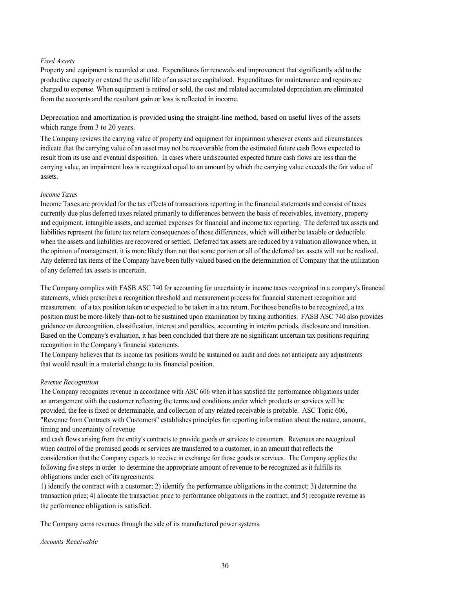#### *Fixed Assets*

Property and equipment is recorded at cost. Expenditures for renewals and improvement that significantly add to the productive capacity or extend the useful life of an asset are capitalized. Expenditures for maintenance and repairs are charged to expense. When equipment is retired or sold, the cost and related accumulated depreciation are eliminated from the accounts and the resultant gain or loss is reflected in income.

Depreciation and amortization is provided using the straight-line method, based on useful lives of the assets which range from 3 to 20 years.

The Company reviews the carrying value of property and equipment for impairment whenever events and circumstances indicate that the carrying value of an asset may not be recoverable from the estimated future cash flows expected to result from its use and eventual disposition. In cases where undiscounted expected future cash flows are less than the carrying value, an impairment loss is recognized equal to an amount by which the carrying value exceeds the fair value of assets.

#### *Income Taxes*

Income Taxes are provided for the tax effects of transactions reporting in the financial statements and consist of taxes currently due plus deferred taxes related primarily to differences between the basis of receivables, inventory, property and equipment, intangible assets, and accrued expenses for financial and income tax reporting. The deferred tax assets and liabilities represent the future tax return consequences of those differences, which will either be taxable or deductible when the assets and liabilities are recovered or settled. Deferred tax assets are reduced by a valuation allowance when, in the opinion of management, it is more likely than not that some portion or all of the deferred tax assets will not be realized. Any deferred tax items of the Company have been fully valued based on the determination of Company that the utilization of any deferred tax assets is uncertain.

The Company complies with FASB ASC 740 for accounting for uncertainty in income taxes recognized in a company's financial statements, which prescribes a recognition threshold and measurement process for financial statement recognition and measurement of a tax position taken or expected to be taken in a tax return. For those benefits to be recognized, a tax position must be more-likely than-not to be sustained upon examination by taxing authorities. FASB ASC 740 also provides guidance on derecognition, classification, interest and penalties, accounting in interim periods, disclosure and transition. Based on the Company's evaluation, it has been concluded that there are no significant uncertain tax positions requiring recognition in the Company's financial statements.

The Company believes that its income tax positions would be sustained on audit and does not anticipate any adjustments that would result in a material change to its financial position.

#### *Revenue Recognition*

The Company recognizes revenue in accordance with ASC 606 when it has satisfied the performance obligations under an arrangement with the customer reflecting the terms and conditions under which products or services will be provided, the fee is fixed or determinable, and collection of any related receivable is probable. ASC Topic 606, "Revenue from Contracts with Customers" establishes principles for reporting information about the nature, amount, timing and uncertainty of revenue

and cash flows arising from the entity's contracts to provide goods or services to customers. Revenues are recognized when control of the promised goods or services are transferred to a customer, in an amount that reflects the consideration that the Company expects to receive in exchange for those goods or services. The Company applies the following five steps in order to determine the appropriate amount of revenue to be recognized as it fulfills its obligations under each of its agreements:

1) identify the contract with a customer; 2) identify the performance obligations in the contract; 3) determine the transaction price; 4) allocate the transaction price to performance obligations in the contract; and 5) recognize revenue as the performance obligation is satisfied.

The Company earns revenues through the sale of its manufactured power systems.

*Accounts Receivable*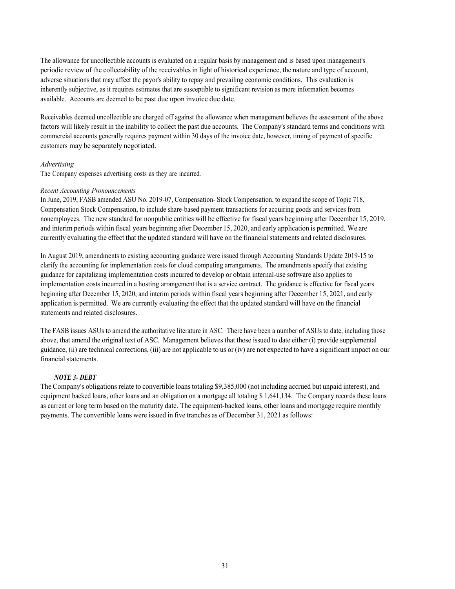The allowance for uncollectible accounts is evaluated on a regular basis by management and is based upon management's periodic review of the collectability of the receivables in light of historical experience, the nature and type of account, adverse situations that may affect the payor's ability to repay and prevailing economic conditions. This evaluation is inherently subjective, as it requires estimates that are susceptible to significant revision as more information becomes available. Accounts are deemed to be past due upon invoice due date.

Receivables deemed uncollectible are charged off against the allowance when management believes the assessment of the above factors will likely result in the inability to collect the past due accounts. The Company's standard terms and conditions with commercial accounts generally requires payment within 30 days of the invoice date, however, timing of payment of specific customers may be separately negotiated.

#### *Advertising*

The Company expenses advertising costs as they are incurred.

#### *Recent Accounting Pronouncements*

In June, 2019, FASB amended ASU No. 2019-07, Compensation- Stock Compensation, to expand the scope of Topic 718, Compensation Stock Compensation, to include share-based payment transactions for acquiring goods and services from nonemployees. The new standard for nonpublic entities will be effective for fiscal years beginning after December 15, 2019, and interim periods within fiscal years beginning after December 15, 2020, and early application is permitted. We are currently evaluating the effect that the updated standard will have on the financial statements and related disclosures.

In August 2019, amendments to existing accounting guidance were issued through Accounting Standards Update 2019-15 to clarify the accounting for implementation costs for cloud computing arrangements. The amendments specify that existing guidance for capitalizing implementation costs incurred to develop or obtain internal-use software also applies to implementation costs incurred in a hosting arrangement that is a service contract. The guidance is effective for fiscal years beginning after December 15, 2020, and interim periods within fiscal years beginning after December 15, 2021, and early application is permitted. We are currently evaluating the effect that the updated standard will have on the financial statements and related disclosures.

The FASB issues ASUs to amend the authoritative literature in ASC. There have been a number of ASUs to date, including those above, that amend the original text of ASC. Management believes that those issued to date either (i) provide supplemental guidance, (ii) are technical corrections, (iii) are not applicable to us or (iv) are not expected to have a significant impact on our financial statements.

#### *NOTE 3- DEBT*

The Company's obligations relate to convertible loans totaling \$9,385,000 (not including accrued but unpaid interest), and equipment backed loans, other loans and an obligation on a mortgage all totaling \$ 1,641,134. The Company records these loans as current or long term based on the maturity date. The equipment-backed loans, other loans and mortgage require monthly payments. The convertible loans were issued in five tranches as of December 31, 2021 as follows: